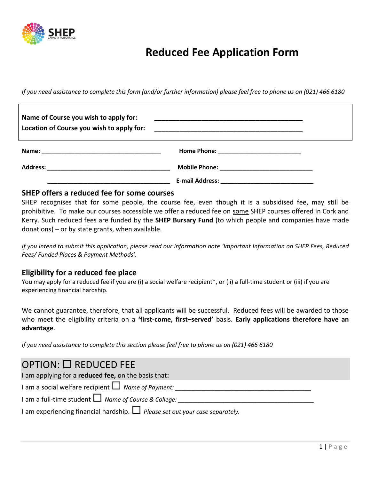

# **Reduced Fee Application Form**

*If you need assistance to complete this form (and/or further information) please feel free to phone us on (021) 466 6180*

| Name of Course you wish to apply for:<br>Location of Course you wish to apply for: |  |
|------------------------------------------------------------------------------------|--|
|                                                                                    |  |
|                                                                                    |  |
|                                                                                    |  |

### **SHEP offers a reduced fee for some courses**

SHEP recognises that for some people, the course fee, even though it is a subsidised fee, may still be prohibitive. To make our courses accessible we offer a reduced fee on some SHEP courses offered in Cork and Kerry. Such reduced fees are funded by the **SHEP Bursary Fund** (to which people and companies have made donations) – or by state grants, when available.

*If you intend to submit this application, please read our information note 'Important Information on SHEP Fees, Reduced Fees/ Funded Places & Payment Methods'.* 

### **Eligibility for a reduced fee place**

You may apply for a reduced fee if you are (i) a social welfare recipient\*, or (ii) a full-time student or (iii) if you are experiencing financial hardship.

We cannot guarantee, therefore, that all applicants will be successful. Reduced fees will be awarded to those who meet the eligibility criteria on a **'first-come, first–served'** basis. **Early applications therefore have an advantage**.

*If you need assistance to complete this section please feel free to phone us on (021) 466 6180*

## OPTION: REDUCED FEE

I am applying for a **reduced fee,** on the basis that**:**

I am a social welfare recipient  $\Box$  Name of Payment:

I am a full-time student  $\Box$  Name of Course & College:

I am experiencing financial hardship. *Please set out your case separately.*